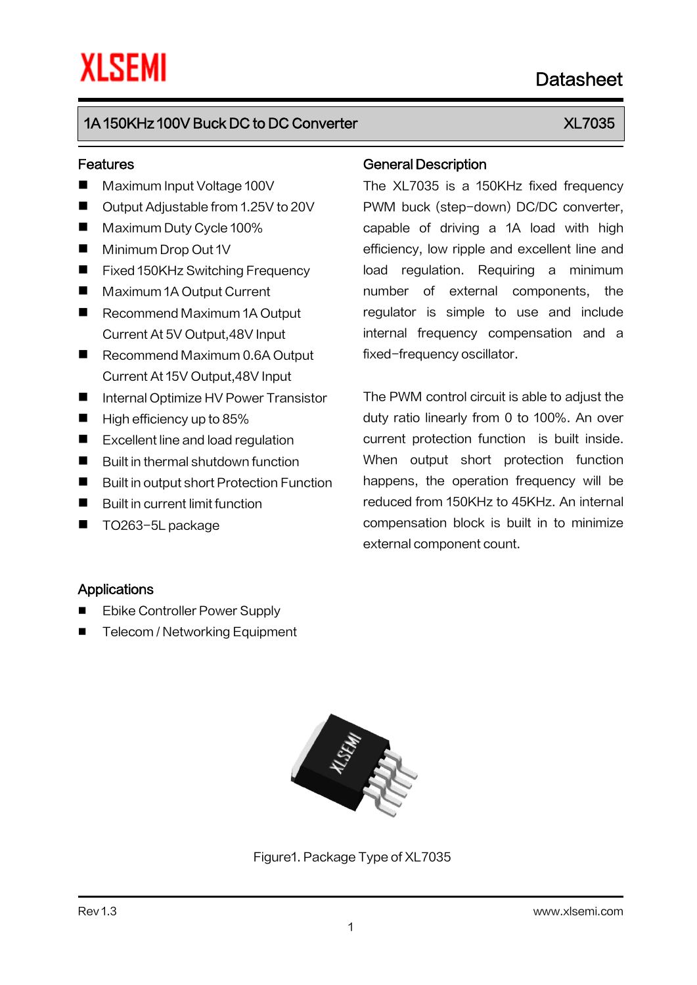# 1A 150KHz 100V Buck DC to DC Converter XLT Number 2014 150KHz 100V Buck DC to DC Converter

#### Features

- Maximum Input Voltage 100V
- Output Adjustable from 1.25V to 20V
- Maximum Duty Cycle 100%
- **Minimum Drop Out 1V**
- Fixed 150KHz Switching Frequency
- Maximum 1A Output Current
- Recommend Maximum 1A Output Current At 5V Output,48V Input
- Recommend Maximum 0.6A Output Current At 15V Output,48V Input
- Internal Optimize HV Power Transistor
- $\blacksquare$  High efficiency up to 85%
- Excellent line and load regulation
- Built in thermal shutdown function
- Built in output short Protection Function
- Built in current limit function
- TO263-5L package

#### General Description

The XL7035 is a 150KHz fixed frequency PWM buck (step-down) DC/DC converter, capable of driving a 1A load with high efficiency, low ripple and excellent line and load regulation. Requiring a minimum number of external components, the regulator is simple to use and include internal frequency compensation and a fixed-frequency oscillator.

The PWM control circuit is able to adjust the duty ratio linearly from 0 to 100%. An over current protection function is built inside. When output short protection function happens, the operation frequency will be reduced from 150KHz to 45KHz. An internal compensation block is built in to minimize external component count.

#### Applications

- Ebike Controller Power Supply
- Telecom / Networking Equipment



Figure1. Package Type of XL7035

Datasheet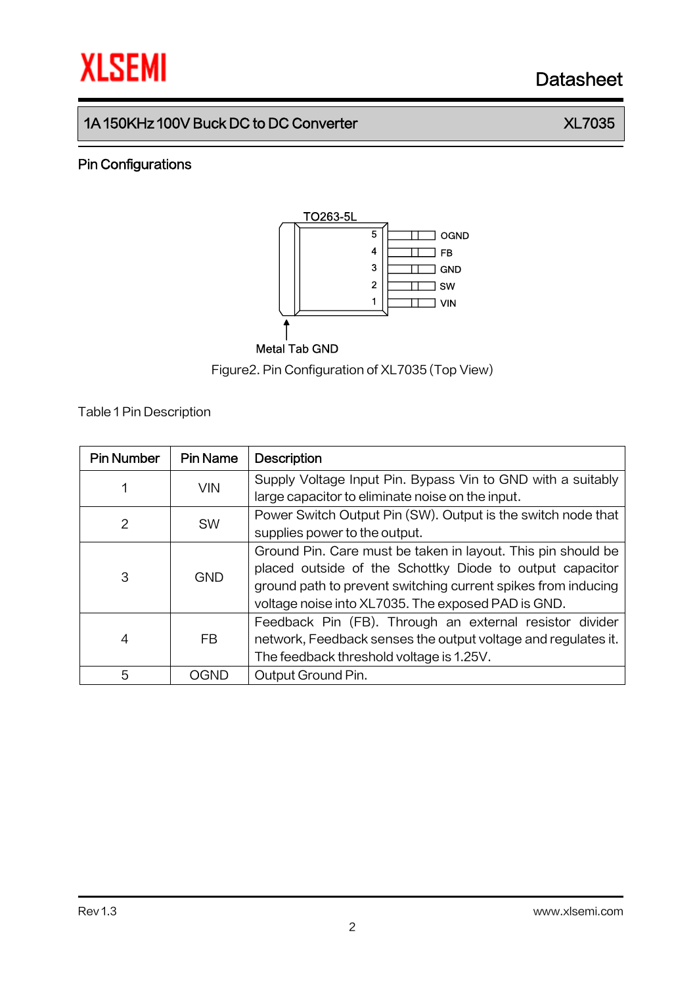# **XLSEMI** Datasheet

# 1A 150KHz 100V Buck DC to DC Converter XLT035

### Pin Configurations



Figure2.Pin Configuration of XL7035 (Top View)

Table 1Pin Description

| <b>Pin Number</b> | <b>Pin Name</b> | <b>Description</b>                                            |
|-------------------|-----------------|---------------------------------------------------------------|
|                   | <b>VIN</b>      | Supply Voltage Input Pin. Bypass Vin to GND with a suitably   |
|                   |                 | large capacitor to eliminate noise on the input.              |
| 2                 | <b>SW</b>       | Power Switch Output Pin (SW). Output is the switch node that  |
|                   |                 | supplies power to the output.                                 |
| 3                 | <b>GND</b>      | Ground Pin. Care must be taken in layout. This pin should be  |
|                   |                 | placed outside of the Schottky Diode to output capacitor      |
|                   |                 | ground path to prevent switching current spikes from inducing |
|                   |                 | voltage noise into XL7035. The exposed PAD is GND.            |
|                   | FB.             | Feedback Pin (FB). Through an external resistor divider       |
| 4                 |                 | network. Feedback senses the output voltage and regulates it. |
|                   |                 | The feedback threshold voltage is 1.25V.                      |
| 5                 | OGNE            | Output Ground Pin.                                            |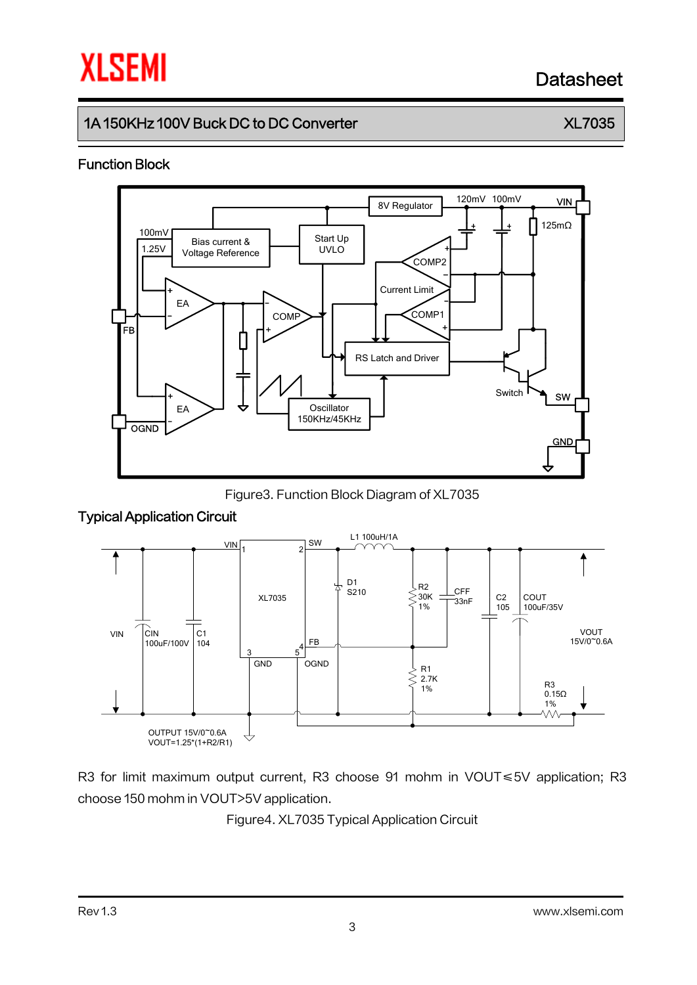# **XLSEMI**

# Datasheet

# 1A 150KHz 100V Buck DC to DC Converter XLT Number 2014

#### Function Block



Figure3. Function Block Diagram of XL7035

## Typical Application Circuit



R3 for limit maximum output current, R3 choose 91 mohm in VOUT ≤5V application; R3 choose 150 mohm in VOUT>5V application.

Figure4. XL7035 Typical Application Circuit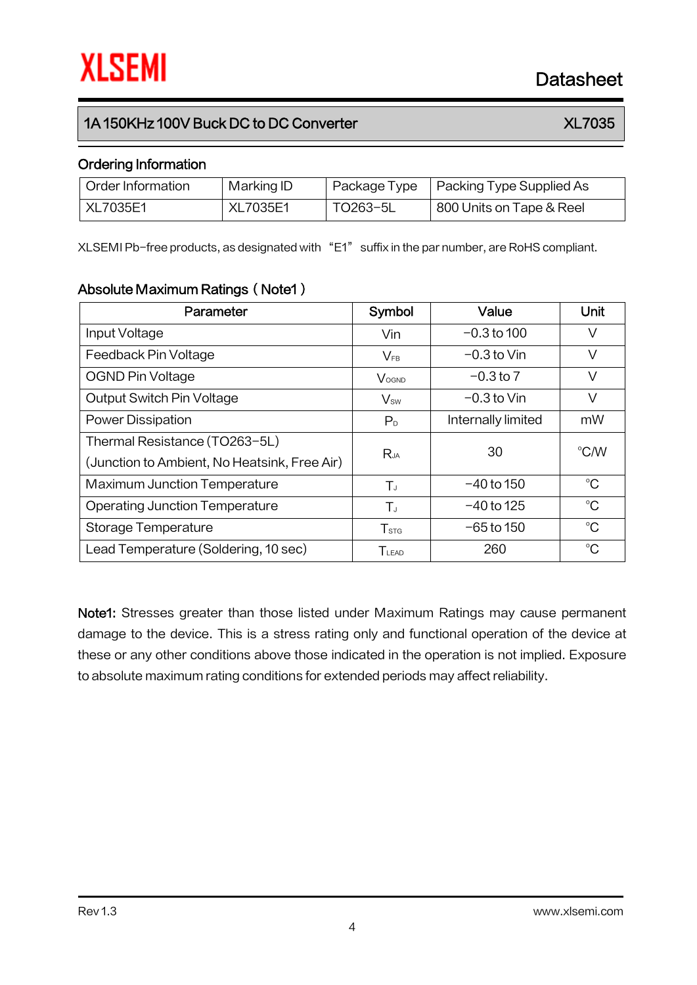Datasheet

## 1A 150KHz 100V Buck DC to DC Converter XLT Number 2014

#### Ordering Information

| Order Information | Marking ID | Package Type | Packing Type Supplied As |
|-------------------|------------|--------------|--------------------------|
| XL7035E1          | XL7035E1   | TO263-5L     | 800 Units on Tape & Reel |

XLSEMI Pb-free products, as designated with "E1" suffix in the par number, are RoHS compliant.

### Absolute Maximum Ratings (Note1)

| Parameter                                    | Symbol            | Value              | Unit        |  |
|----------------------------------------------|-------------------|--------------------|-------------|--|
| Input Voltage                                | Vin               | $-0.3$ to 100      | V           |  |
| Feedback Pin Voltage                         | $V_{FB}$          | $-0.3$ to Vin      | V           |  |
| <b>OGND Pin Voltage</b>                      | <b>VOGND</b>      | $-0.3$ to 7        | $\vee$      |  |
| Output Switch Pin Voltage                    | $V_{sw}$          | $-0.3$ to Vin      | V           |  |
| <b>Power Dissipation</b>                     | P <sub>D</sub>    | Internally limited | mW          |  |
| Thermal Resistance (TO263-5L)                | $R_{JA}$          | 30                 | °C/W        |  |
| (Junction to Ambient, No Heatsink, Free Air) |                   |                    |             |  |
| Maximum Junction Temperature                 | TJ                | $-40$ to 150       | $^{\circ}C$ |  |
| <b>Operating Junction Temperature</b>        | $T_{J}$           | $-40$ to 125       | $^{\circ}C$ |  |
| Storage Temperature                          | T <sub>STG</sub>  | –65 to 150         | $^{\circ}C$ |  |
| Lead Temperature (Soldering, 10 sec)         | T <sub>LEAD</sub> | 260                | $^{\circ}C$ |  |

Note1: Stresses greater than those listed under Maximum Ratings may cause permanent damage to the device. This is a stress rating only and functional operation of the device at these or any other conditions above those indicated in the operation is not implied. Exposure to absolute maximum rating conditions for extended periods may affect reliability.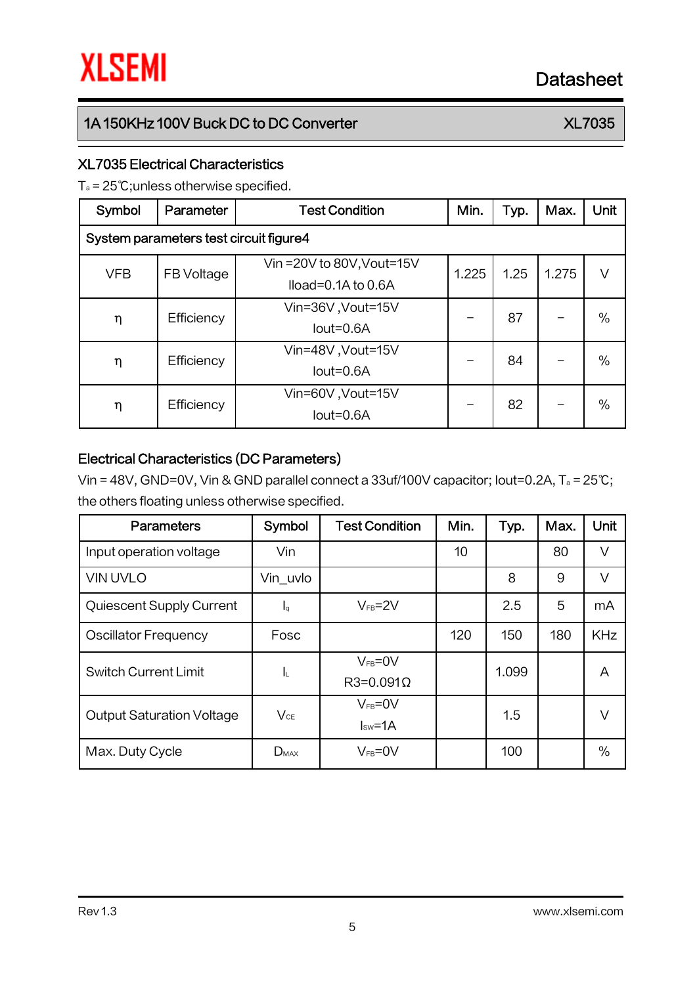# 1A 150KHz 100V Buck DC to DC Converter XLT Number 2014

#### XL7035 Electrical Characteristics

T<sup>a</sup> = 25℃;unless otherwise specified.

| Symbol                                 | Parameter  | <b>Test Condition</b>      | Min.  | Typ. | Max.  | Unit |  |
|----------------------------------------|------------|----------------------------|-------|------|-------|------|--|
| System parameters test circuit figure4 |            |                            |       |      |       |      |  |
| <b>VFB</b>                             | FB Voltage | Vin = 20V to 80V, Vout=15V | 1.225 | 1.25 | 1.275 | V    |  |
|                                        |            | lload=0.1A to 0.6A         |       |      |       |      |  |
| η                                      | Efficiency | Vin=36V, Vout=15V          |       | 87   |       | %    |  |
|                                        |            | $Iout=0.6A$                |       |      |       |      |  |
| η                                      | Efficiency | Vin=48V, Vout=15V          |       | 84   |       | %    |  |
|                                        |            | $Iout=0.6A$                |       |      |       |      |  |
| η                                      | Efficiency | Vin=60V, Vout=15V          |       | 82   |       | $\%$ |  |
|                                        |            | $Iout=0.6A$                |       |      |       |      |  |

#### Electrical Characteristics (DC Parameters)

Vin = 48V, GND=0V, Vin & GND parallel connect a 33uf/100V capacitor; Iout=0.2A, T<sup>a</sup> = 25℃; the others floating unless otherwise specified.

| <b>Parameters</b>                | Symbol           | <b>Test Condition</b>             | Min. | Typ.  | Max. | Unit           |
|----------------------------------|------------------|-----------------------------------|------|-------|------|----------------|
| Input operation voltage          | Vin              |                                   | 10   |       | 80   | V              |
| <b>VIN UVLO</b>                  | Vin uvlo         |                                   |      | 8     | 9    | V              |
| Quiescent Supply Current         | $I_{\mathsf{q}}$ | $V_{FB} = 2V$                     |      | 2.5   | 5    | m <sub>A</sub> |
| <b>Oscillator Frequency</b>      | Fosc             |                                   | 120  | 150   | 180  | <b>KHz</b>     |
| <b>Switch Current Limit</b>      | ΙL.              | $V_{FB} = 0V$<br>$R3=0.091\Omega$ |      | 1.099 |      | A              |
| <b>Output Saturation Voltage</b> | $V_{CE}$         | $V_{FB} = 0V$<br>$Isw=1A$         |      | 1.5   |      | V              |
| Max. Duty Cycle                  | $D_{MAX}$        | $V_{FB} = 0V$                     |      | 100   |      | $\%$           |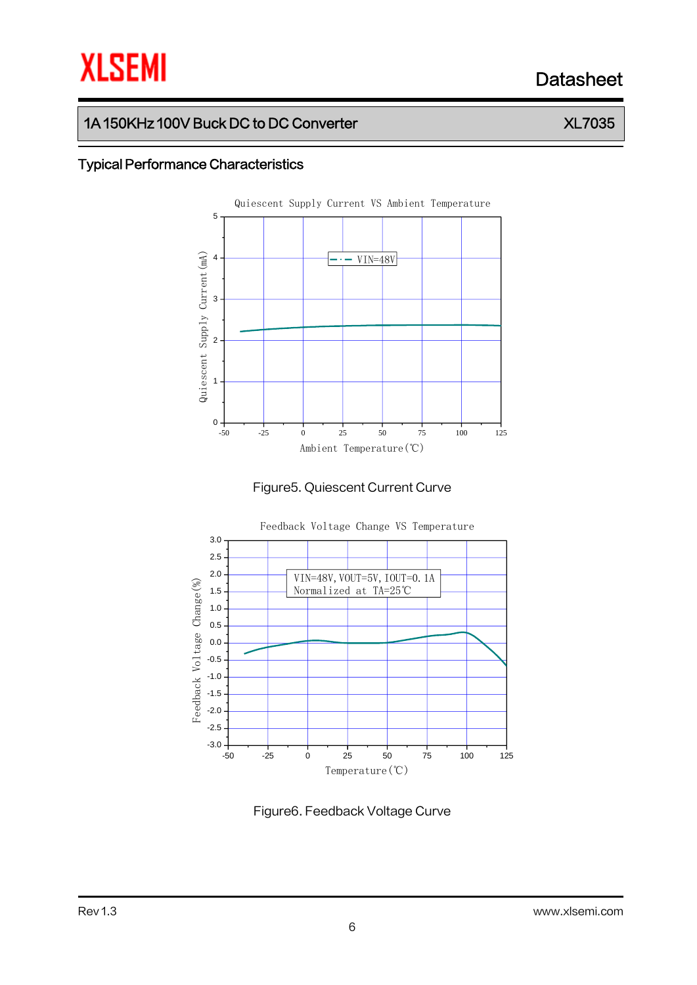# **XLSEMI** Datasheet

# 1A 150KHz 100V Buck DC to DC Converter XLT Number 2014

#### Typical Performance Characteristics







Figure6. Feedback Voltage Curve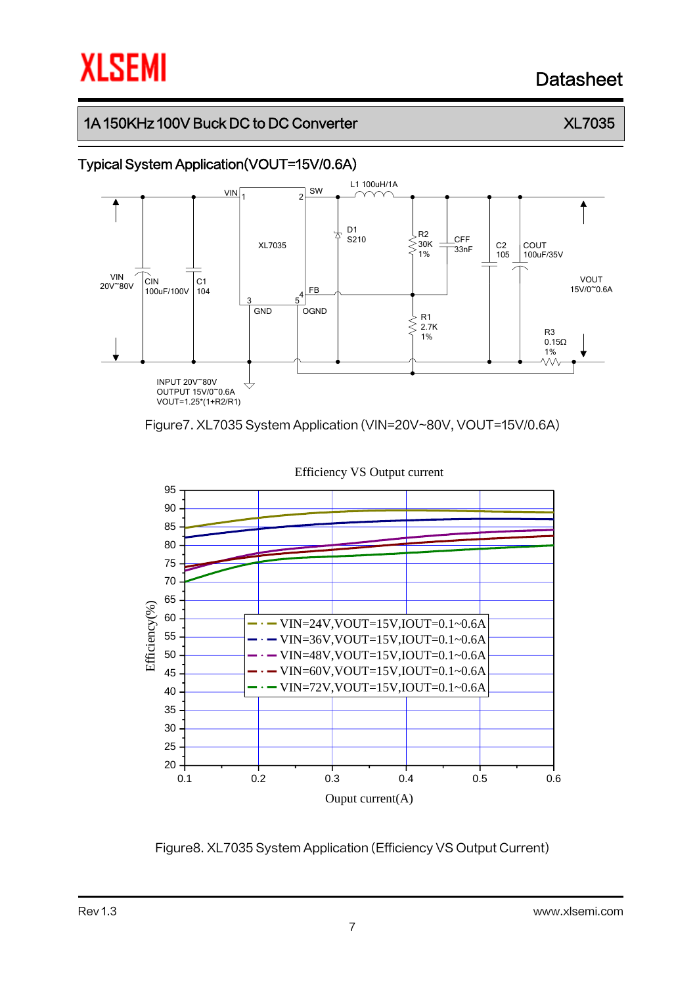# **XLSEMI**

# Datasheet

## 1A 150KHz 100V Buck DC to DC Converter XLT Number 2014

### Typical System Application(VOUT=15V/0.6A)



Figure7. XL7035 System Application (VIN=20V~80V, VOUT=15V/0.6A)



Figure8. XL7035 System Application (Efficiency VS Output Current)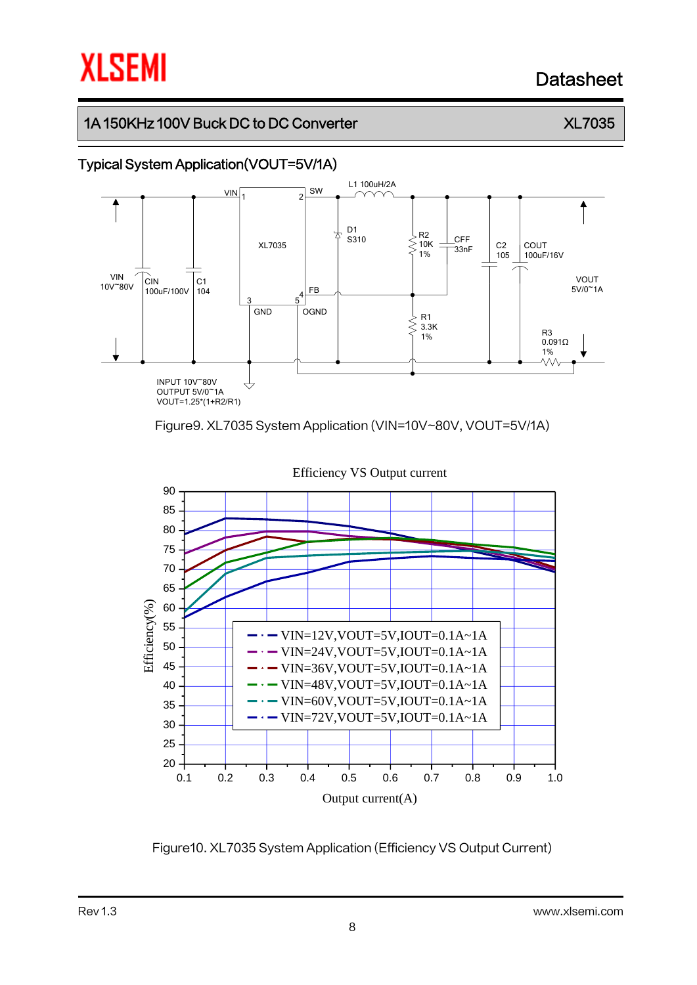# **XLSEMI**

# Datasheet

## 1A 150KHz 100V Buck DC to DC Converter XLT Number 2014

### Typical System Application(VOUT=5V/1A)



#### Figure9. XL7035 System Application (VIN=10V~80V, VOUT=5V/1A)



Figure10. XL7035 System Application (Efficiency VS Output Current)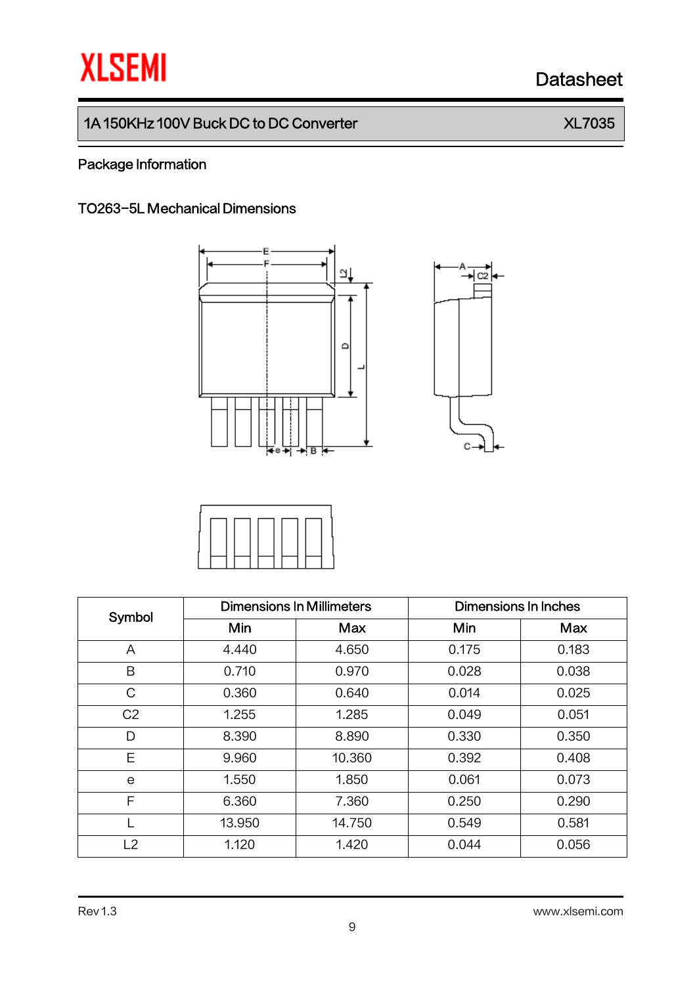# **XLSEMI** Datasheet

 $\overline{c}$ 

c.

# 1A 150KHz 100V Buck DC to DC Converter XL7035

## Package Information

#### TO263-5L Mechanical Dimensions





| Symbol         | <b>Dimensions In Millimeters</b> |        | Dimensions In Inches |       |  |
|----------------|----------------------------------|--------|----------------------|-------|--|
|                | Min                              | Max    | Min                  | Max   |  |
| A              | 4.440                            | 4.650  | 0.175                | 0.183 |  |
| B              | 0.710                            | 0.970  | 0.028                | 0.038 |  |
| C              | 0.360                            | 0.640  | 0.014                | 0.025 |  |
| C <sub>2</sub> | 1.255                            | 1.285  | 0.049                | 0.051 |  |
| D              | 8.390                            | 8.890  | 0.330                | 0.350 |  |
| Ε              | 9.960                            | 10.360 | 0.392                | 0.408 |  |
| e              | 1.550                            | 1.850  | 0.061                | 0.073 |  |
| F              | 6.360                            | 7.360  | 0.250                | 0.290 |  |
|                | 13.950                           | 14.750 | 0.549                | 0.581 |  |
| L <sub>2</sub> | 1.120                            | 1.420  | 0.044                | 0.056 |  |